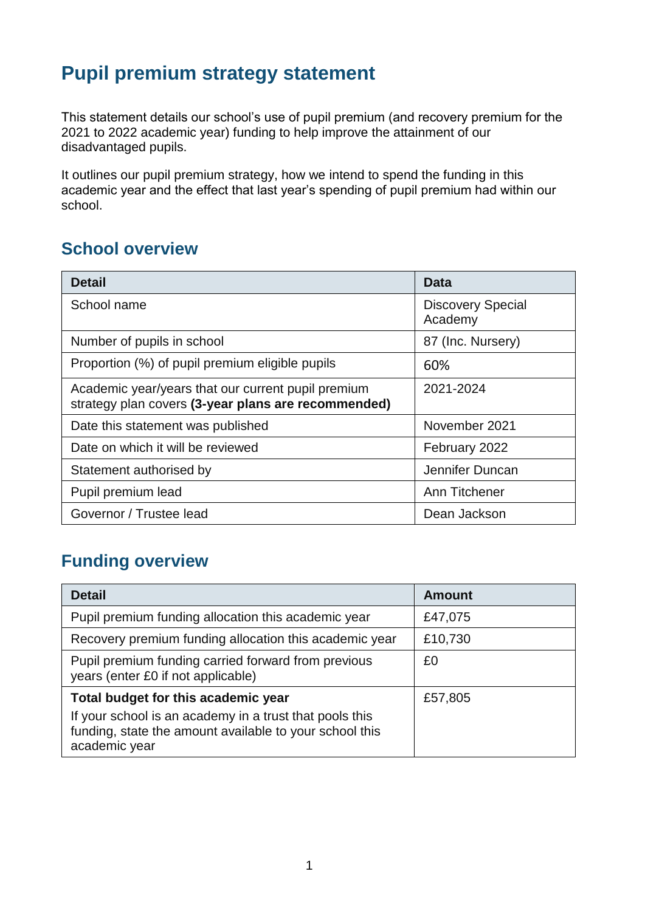# **Pupil premium strategy statement**

This statement details our school's use of pupil premium (and recovery premium for the 2021 to 2022 academic year) funding to help improve the attainment of our disadvantaged pupils.

It outlines our pupil premium strategy, how we intend to spend the funding in this academic year and the effect that last year's spending of pupil premium had within our school.

### **School overview**

| <b>Detail</b>                                                                                             | Data                                |
|-----------------------------------------------------------------------------------------------------------|-------------------------------------|
| School name                                                                                               | <b>Discovery Special</b><br>Academy |
| Number of pupils in school                                                                                | 87 (Inc. Nursery)                   |
| Proportion (%) of pupil premium eligible pupils                                                           | 60%                                 |
| Academic year/years that our current pupil premium<br>strategy plan covers (3-year plans are recommended) | 2021-2024                           |
| Date this statement was published                                                                         | November 2021                       |
| Date on which it will be reviewed                                                                         | February 2022                       |
| Statement authorised by                                                                                   | Jennifer Duncan                     |
| Pupil premium lead                                                                                        | Ann Titchener                       |
| Governor / Trustee lead                                                                                   | Dean Jackson                        |

## **Funding overview**

| <b>Detail</b>                                                                                                                                                              | <b>Amount</b> |
|----------------------------------------------------------------------------------------------------------------------------------------------------------------------------|---------------|
| Pupil premium funding allocation this academic year                                                                                                                        | £47,075       |
| Recovery premium funding allocation this academic year                                                                                                                     | £10,730       |
| Pupil premium funding carried forward from previous<br>years (enter £0 if not applicable)                                                                                  | £0            |
| Total budget for this academic year<br>If your school is an academy in a trust that pools this<br>funding, state the amount available to your school this<br>academic year | £57,805       |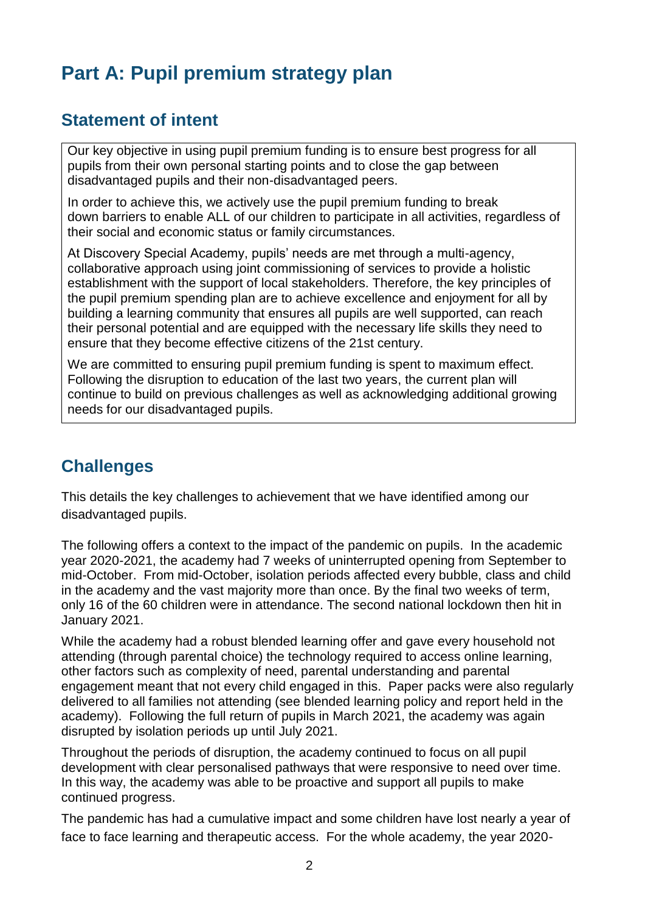# **Part A: Pupil premium strategy plan**

### **Statement of intent**

Our key objective in using pupil premium funding is to ensure best progress for all pupils from their own personal starting points and to close the gap between disadvantaged pupils and their non-disadvantaged peers.

In order to achieve this, we actively use the pupil premium funding to break down barriers to enable ALL of our children to participate in all activities, regardless of their social and economic status or family circumstances.

At Discovery Special Academy, pupils' needs are met through a multi-agency, collaborative approach using joint commissioning of services to provide a holistic establishment with the support of local stakeholders. Therefore, the key principles of the pupil premium spending plan are to achieve excellence and enjoyment for all by building a learning community that ensures all pupils are well supported, can reach their personal potential and are equipped with the necessary life skills they need to ensure that they become effective citizens of the 21st century.

We are committed to ensuring pupil premium funding is spent to maximum effect. Following the disruption to education of the last two years, the current plan will continue to build on previous challenges as well as acknowledging additional growing needs for our disadvantaged pupils.

## **Challenges**

This details the key challenges to achievement that we have identified among our disadvantaged pupils.

The following offers a context to the impact of the pandemic on pupils. In the academic year 2020-2021, the academy had 7 weeks of uninterrupted opening from September to mid-October. From mid-October, isolation periods affected every bubble, class and child in the academy and the vast majority more than once. By the final two weeks of term, only 16 of the 60 children were in attendance. The second national lockdown then hit in January 2021.

While the academy had a robust blended learning offer and gave every household not attending (through parental choice) the technology required to access online learning, other factors such as complexity of need, parental understanding and parental engagement meant that not every child engaged in this. Paper packs were also regularly delivered to all families not attending (see blended learning policy and report held in the academy). Following the full return of pupils in March 2021, the academy was again disrupted by isolation periods up until July 2021.

Throughout the periods of disruption, the academy continued to focus on all pupil development with clear personalised pathways that were responsive to need over time. In this way, the academy was able to be proactive and support all pupils to make continued progress.

The pandemic has had a cumulative impact and some children have lost nearly a year of face to face learning and therapeutic access. For the whole academy, the year 2020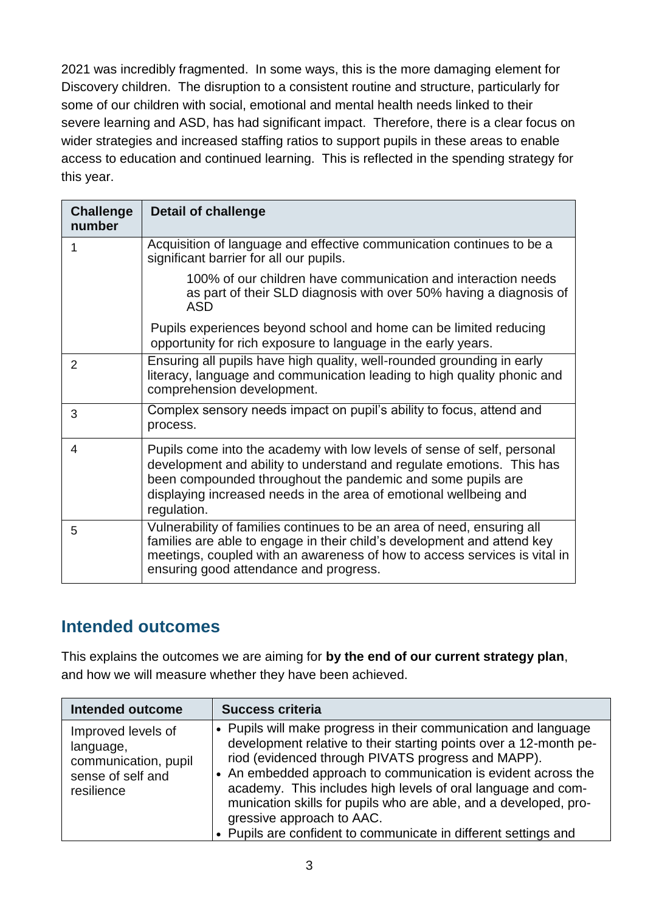2021 was incredibly fragmented. In some ways, this is the more damaging element for Discovery children. The disruption to a consistent routine and structure, particularly for some of our children with social, emotional and mental health needs linked to their severe learning and ASD, has had significant impact. Therefore, there is a clear focus on wider strategies and increased staffing ratios to support pupils in these areas to enable access to education and continued learning. This is reflected in the spending strategy for this year.

| <b>Challenge</b><br>number | <b>Detail of challenge</b>                                                                                                                                                                                                                                                                          |  |
|----------------------------|-----------------------------------------------------------------------------------------------------------------------------------------------------------------------------------------------------------------------------------------------------------------------------------------------------|--|
| 1                          | Acquisition of language and effective communication continues to be a<br>significant barrier for all our pupils.                                                                                                                                                                                    |  |
|                            | 100% of our children have communication and interaction needs<br>as part of their SLD diagnosis with over 50% having a diagnosis of<br><b>ASD</b>                                                                                                                                                   |  |
|                            | Pupils experiences beyond school and home can be limited reducing<br>opportunity for rich exposure to language in the early years.                                                                                                                                                                  |  |
| 2                          | Ensuring all pupils have high quality, well-rounded grounding in early<br>literacy, language and communication leading to high quality phonic and<br>comprehension development.                                                                                                                     |  |
| 3                          | Complex sensory needs impact on pupil's ability to focus, attend and<br>process.                                                                                                                                                                                                                    |  |
| 4                          | Pupils come into the academy with low levels of sense of self, personal<br>development and ability to understand and regulate emotions. This has<br>been compounded throughout the pandemic and some pupils are<br>displaying increased needs in the area of emotional wellbeing and<br>regulation. |  |
| 5                          | Vulnerability of families continues to be an area of need, ensuring all<br>families are able to engage in their child's development and attend key<br>meetings, coupled with an awareness of how to access services is vital in<br>ensuring good attendance and progress.                           |  |

### **Intended outcomes**

This explains the outcomes we are aiming for **by the end of our current strategy plan**, and how we will measure whether they have been achieved.

| <b>Intended outcome</b>                                                                    | <b>Success criteria</b>                                                                                                                                                                                                                                                                                                                                                                                                                                                                         |
|--------------------------------------------------------------------------------------------|-------------------------------------------------------------------------------------------------------------------------------------------------------------------------------------------------------------------------------------------------------------------------------------------------------------------------------------------------------------------------------------------------------------------------------------------------------------------------------------------------|
| Improved levels of<br>language,<br>communication, pupil<br>sense of self and<br>resilience | • Pupils will make progress in their communication and language<br>development relative to their starting points over a 12-month pe-<br>riod (evidenced through PIVATS progress and MAPP).<br>• An embedded approach to communication is evident across the<br>academy. This includes high levels of oral language and com-<br>munication skills for pupils who are able, and a developed, pro-<br>gressive approach to AAC.<br>• Pupils are confident to communicate in different settings and |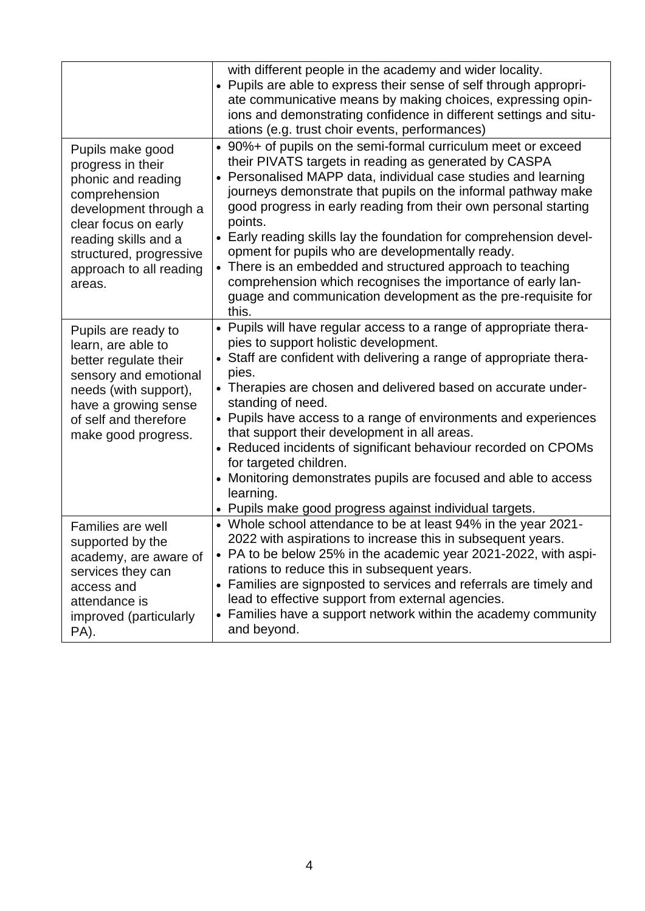|                                                                                                                                                                                                                       | with different people in the academy and wider locality.<br>• Pupils are able to express their sense of self through appropri-<br>ate communicative means by making choices, expressing opin-<br>ions and demonstrating confidence in different settings and situ-<br>ations (e.g. trust choir events, performances)                                                                                                                                                                                                                                                                                                                                                    |
|-----------------------------------------------------------------------------------------------------------------------------------------------------------------------------------------------------------------------|-------------------------------------------------------------------------------------------------------------------------------------------------------------------------------------------------------------------------------------------------------------------------------------------------------------------------------------------------------------------------------------------------------------------------------------------------------------------------------------------------------------------------------------------------------------------------------------------------------------------------------------------------------------------------|
| Pupils make good<br>progress in their<br>phonic and reading<br>comprehension<br>development through a<br>clear focus on early<br>reading skills and a<br>structured, progressive<br>approach to all reading<br>areas. | • 90%+ of pupils on the semi-formal curriculum meet or exceed<br>their PIVATS targets in reading as generated by CASPA<br>• Personalised MAPP data, individual case studies and learning<br>journeys demonstrate that pupils on the informal pathway make<br>good progress in early reading from their own personal starting<br>points.<br>• Early reading skills lay the foundation for comprehension devel-<br>opment for pupils who are developmentally ready.<br>• There is an embedded and structured approach to teaching<br>comprehension which recognises the importance of early lan-<br>guage and communication development as the pre-requisite for<br>this. |
| Pupils are ready to<br>learn, are able to<br>better regulate their<br>sensory and emotional<br>needs (with support),<br>have a growing sense<br>of self and therefore<br>make good progress.                          | • Pupils will have regular access to a range of appropriate thera-<br>pies to support holistic development.<br>• Staff are confident with delivering a range of appropriate thera-<br>pies.<br>• Therapies are chosen and delivered based on accurate under-<br>standing of need.<br>• Pupils have access to a range of environments and experiences<br>that support their development in all areas.<br>• Reduced incidents of significant behaviour recorded on CPOMs<br>for targeted children.<br>• Monitoring demonstrates pupils are focused and able to access<br>learning.<br>• Pupils make good progress against individual targets.                             |
| Families are well<br>supported by the<br>academy, are aware of<br>services they can<br>access and<br>attendance is<br>improved (particularly<br>PA).                                                                  | • Whole school attendance to be at least 94% in the year 2021-<br>2022 with aspirations to increase this in subsequent years.<br>• PA to be below 25% in the academic year 2021-2022, with aspi-<br>rations to reduce this in subsequent years.<br>• Families are signposted to services and referrals are timely and<br>lead to effective support from external agencies.<br>• Families have a support network within the academy community<br>and beyond.                                                                                                                                                                                                             |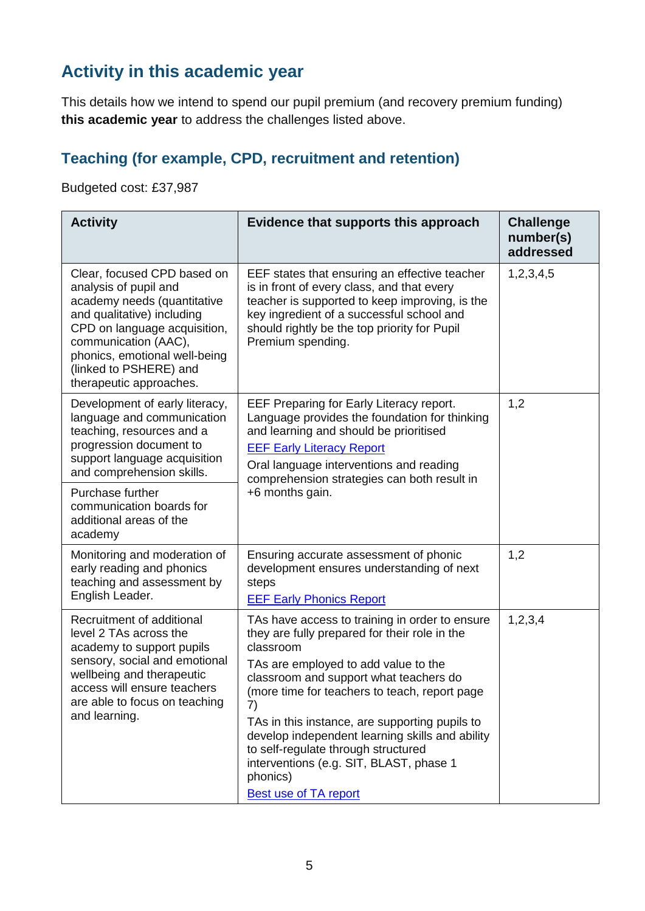## **Activity in this academic year**

This details how we intend to spend our pupil premium (and recovery premium funding) **this academic year** to address the challenges listed above.

#### **Teaching (for example, CPD, recruitment and retention)**

Budgeted cost: £37,987

| <b>Activity</b>                                                                                                                                                                                                                                                         | Evidence that supports this approach                                                                                                                                                                                                                                                                                                                                                                                                                                                     | <b>Challenge</b><br>number(s)<br>addressed |
|-------------------------------------------------------------------------------------------------------------------------------------------------------------------------------------------------------------------------------------------------------------------------|------------------------------------------------------------------------------------------------------------------------------------------------------------------------------------------------------------------------------------------------------------------------------------------------------------------------------------------------------------------------------------------------------------------------------------------------------------------------------------------|--------------------------------------------|
| Clear, focused CPD based on<br>analysis of pupil and<br>academy needs (quantitative<br>and qualitative) including<br>CPD on language acquisition,<br>communication (AAC),<br>phonics, emotional well-being<br>(linked to PSHERE) and<br>therapeutic approaches.         | EEF states that ensuring an effective teacher<br>is in front of every class, and that every<br>teacher is supported to keep improving, is the<br>key ingredient of a successful school and<br>should rightly be the top priority for Pupil<br>Premium spending.                                                                                                                                                                                                                          | 1,2,3,4,5                                  |
| Development of early literacy,<br>language and communication<br>teaching, resources and a<br>progression document to<br>support language acquisition<br>and comprehension skills.<br>Purchase further<br>communication boards for<br>additional areas of the<br>academy | EEF Preparing for Early Literacy report.<br>Language provides the foundation for thinking<br>and learning and should be prioritised<br><b>EEF Early Literacy Report</b><br>Oral language interventions and reading<br>comprehension strategies can both result in<br>+6 months gain.                                                                                                                                                                                                     | 1,2                                        |
| Monitoring and moderation of<br>early reading and phonics<br>teaching and assessment by<br>English Leader.                                                                                                                                                              | Ensuring accurate assessment of phonic<br>development ensures understanding of next<br>steps<br><b>EEF Early Phonics Report</b>                                                                                                                                                                                                                                                                                                                                                          | 1,2                                        |
| Recruitment of additional<br>level 2 TAs across the<br>academy to support pupils<br>sensory, social and emotional<br>wellbeing and therapeutic<br>access will ensure teachers<br>are able to focus on teaching<br>and learning.                                         | TAs have access to training in order to ensure<br>they are fully prepared for their role in the<br>classroom<br>TAs are employed to add value to the<br>classroom and support what teachers do<br>(more time for teachers to teach, report page<br>7)<br>TAs in this instance, are supporting pupils to<br>develop independent learning skills and ability<br>to self-regulate through structured<br>interventions (e.g. SIT, BLAST, phase 1<br>phonics)<br><b>Best use of TA report</b> | 1, 2, 3, 4                                 |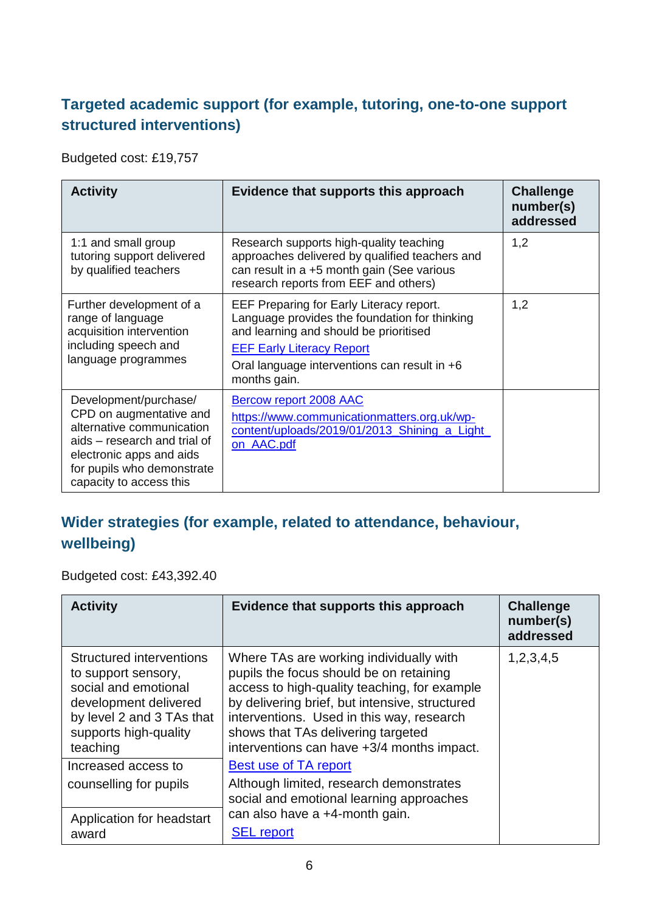### **Targeted academic support (for example, tutoring, one-to-one support structured interventions)**

Budgeted cost: £19,757

| <b>Activity</b>                                                                                                                                                                                    | Evidence that supports this approach                                                                                                                                                                                                    | <b>Challenge</b><br>number(s)<br>addressed |
|----------------------------------------------------------------------------------------------------------------------------------------------------------------------------------------------------|-----------------------------------------------------------------------------------------------------------------------------------------------------------------------------------------------------------------------------------------|--------------------------------------------|
| 1:1 and small group<br>tutoring support delivered<br>by qualified teachers                                                                                                                         | Research supports high-quality teaching<br>approaches delivered by qualified teachers and<br>can result in a +5 month gain (See various<br>research reports from EEF and others)                                                        | 1,2                                        |
| Further development of a<br>range of language<br>acquisition intervention<br>including speech and<br>language programmes                                                                           | EEF Preparing for Early Literacy report.<br>Language provides the foundation for thinking<br>and learning and should be prioritised<br><b>EEF Early Literacy Report</b><br>Oral language interventions can result in +6<br>months gain. | 1,2                                        |
| Development/purchase/<br>CPD on augmentative and<br>alternative communication<br>aids – research and trial of<br>electronic apps and aids<br>for pupils who demonstrate<br>capacity to access this | <b>Bercow report 2008 AAC</b><br>https://www.communicationmatters.org.uk/wp-<br>content/uploads/2019/01/2013_Shining_a_Light_<br>on AAC.pdf                                                                                             |                                            |

## **Wider strategies (for example, related to attendance, behaviour, wellbeing)**

Budgeted cost: £43,392.40

| <b>Activity</b>                                                                                                                                                    | Evidence that supports this approach                                                                                                                                                                                                                                                                                  | <b>Challenge</b><br>number(s)<br>addressed |
|--------------------------------------------------------------------------------------------------------------------------------------------------------------------|-----------------------------------------------------------------------------------------------------------------------------------------------------------------------------------------------------------------------------------------------------------------------------------------------------------------------|--------------------------------------------|
| Structured interventions<br>to support sensory,<br>social and emotional<br>development delivered<br>by level 2 and 3 TAs that<br>supports high-quality<br>teaching | Where TAs are working individually with<br>pupils the focus should be on retaining<br>access to high-quality teaching, for example<br>by delivering brief, but intensive, structured<br>interventions. Used in this way, research<br>shows that TAs delivering targeted<br>interventions can have +3/4 months impact. | 1,2,3,4,5                                  |
| Increased access to                                                                                                                                                | Best use of TA report                                                                                                                                                                                                                                                                                                 |                                            |
| counselling for pupils                                                                                                                                             | Although limited, research demonstrates<br>social and emotional learning approaches                                                                                                                                                                                                                                   |                                            |
| Application for headstart<br>award                                                                                                                                 | can also have a +4-month gain.<br><b>SEL</b> report                                                                                                                                                                                                                                                                   |                                            |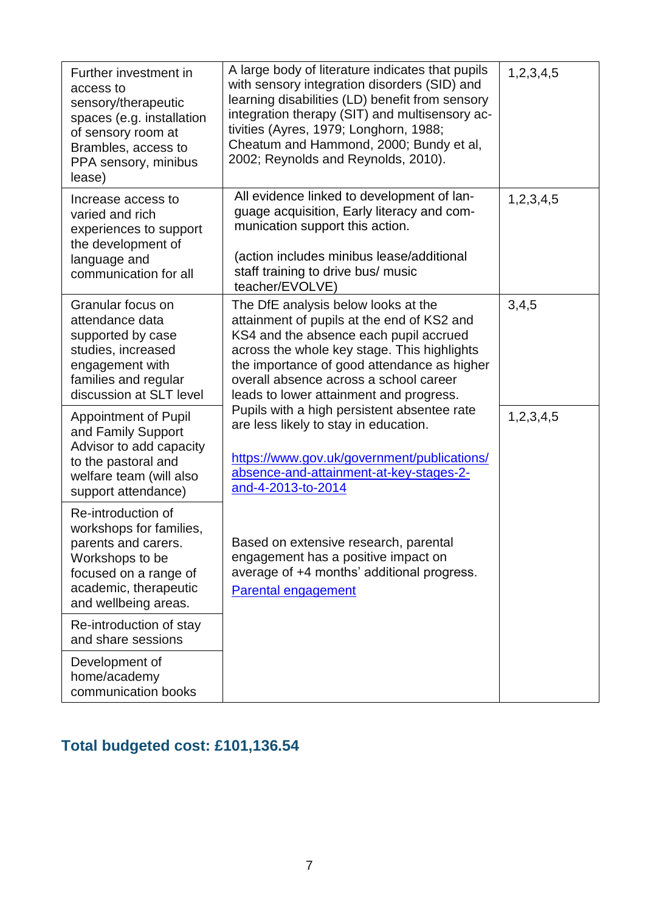| Further investment in<br>access to<br>sensory/therapeutic<br>spaces (e.g. installation<br>of sensory room at<br>Brambles, access to<br>PPA sensory, minibus<br>lease) | A large body of literature indicates that pupils<br>with sensory integration disorders (SID) and<br>learning disabilities (LD) benefit from sensory<br>integration therapy (SIT) and multisensory ac-<br>tivities (Ayres, 1979; Longhorn, 1988;<br>Cheatum and Hammond, 2000; Bundy et al,<br>2002; Reynolds and Reynolds, 2010). | 1,2,3,4,5 |
|-----------------------------------------------------------------------------------------------------------------------------------------------------------------------|-----------------------------------------------------------------------------------------------------------------------------------------------------------------------------------------------------------------------------------------------------------------------------------------------------------------------------------|-----------|
| Increase access to<br>varied and rich<br>experiences to support<br>the development of<br>language and<br>communication for all                                        | All evidence linked to development of lan-<br>guage acquisition, Early literacy and com-<br>munication support this action.<br>(action includes minibus lease/additional<br>staff training to drive bus/ music<br>teacher/EVOLVE)                                                                                                 | 1,2,3,4,5 |
| Granular focus on<br>attendance data<br>supported by case<br>studies, increased<br>engagement with<br>families and regular<br>discussion at SLT level                 | The DfE analysis below looks at the<br>attainment of pupils at the end of KS2 and<br>KS4 and the absence each pupil accrued<br>across the whole key stage. This highlights<br>the importance of good attendance as higher<br>overall absence across a school career<br>leads to lower attainment and progress.                    | 3,4,5     |
| <b>Appointment of Pupil</b><br>and Family Support<br>Advisor to add capacity<br>to the pastoral and<br>welfare team (will also<br>support attendance)                 | Pupils with a high persistent absentee rate<br>are less likely to stay in education.<br>https://www.gov.uk/government/publications/<br>absence-and-attainment-at-key-stages-2-<br>and-4-2013-to-2014                                                                                                                              | 1,2,3,4,5 |
| Re-introduction of<br>workshops for families,<br>parents and carers.<br>Workshops to be<br>focused on a range of<br>academic, therapeutic<br>and wellbeing areas.     | Based on extensive research, parental<br>engagement has a positive impact on<br>average of +4 months' additional progress.<br><b>Parental engagement</b>                                                                                                                                                                          |           |
| Re-introduction of stay<br>and share sessions                                                                                                                         |                                                                                                                                                                                                                                                                                                                                   |           |
| Development of<br>home/academy<br>communication books                                                                                                                 |                                                                                                                                                                                                                                                                                                                                   |           |

# **Total budgeted cost: £101,136.54**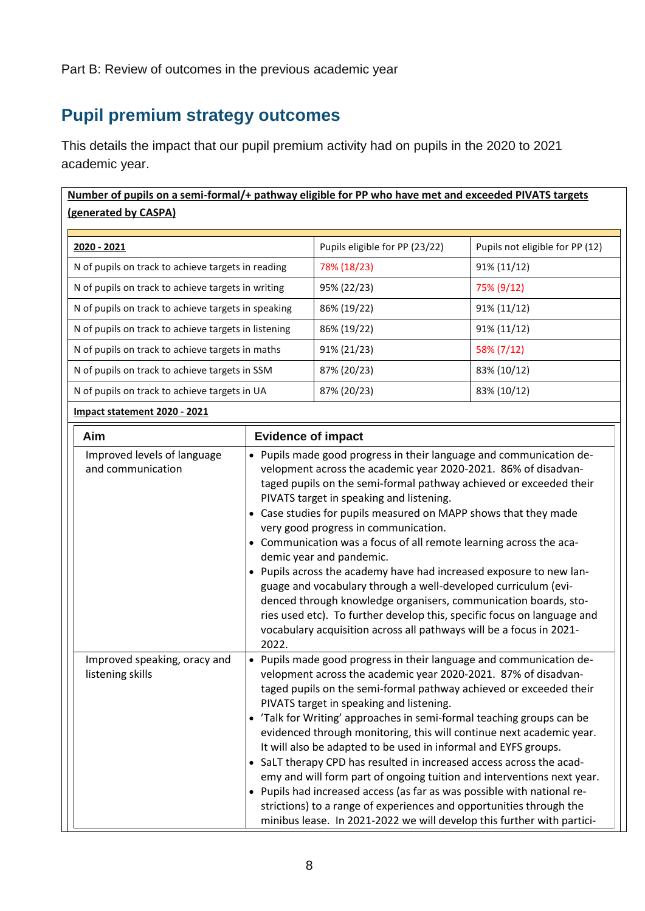# **Pupil premium strategy outcomes**

This details the impact that our pupil premium activity had on pupils in the 2020 to 2021 academic year.

| Number of pupils on a semi-formal/+ pathway eligible for PP who have met and exceeded PIVATS targets<br>(generated by CASPA) |                                |                                 |
|------------------------------------------------------------------------------------------------------------------------------|--------------------------------|---------------------------------|
| 2020 - 2021                                                                                                                  | Pupils eligible for PP (23/22) | Pupils not eligible for PP (12) |
| N of pupils on track to achieve targets in reading                                                                           | 78% (18/23)                    | 91% (11/12)                     |
| N of pupils on track to achieve targets in writing                                                                           | 95% (22/23)                    | 75% (9/12)                      |
| N of pupils on track to achieve targets in speaking                                                                          | 86% (19/22)                    | 91% (11/12)                     |
| N of pupils on track to achieve targets in listening                                                                         | 86% (19/22)                    | 91% (11/12)                     |
| N of pupils on track to achieve targets in maths                                                                             | 91% (21/23)                    | 58% (7/12)                      |
| N of pupils on track to achieve targets in SSM                                                                               | 87% (20/23)                    | 83% (10/12)                     |
| N of pupils on track to achieve targets in UA                                                                                | 87% (20/23)                    | 83% (10/12)                     |
| Impact statement 2020 - 2021                                                                                                 |                                |                                 |

| Aim |                                                  | <b>Evidence of impact</b>                                                                                                                                                                                                                                                                                                                                                                                                                                                                                                                                                                                                                                                                                                                                                                                                                                          |
|-----|--------------------------------------------------|--------------------------------------------------------------------------------------------------------------------------------------------------------------------------------------------------------------------------------------------------------------------------------------------------------------------------------------------------------------------------------------------------------------------------------------------------------------------------------------------------------------------------------------------------------------------------------------------------------------------------------------------------------------------------------------------------------------------------------------------------------------------------------------------------------------------------------------------------------------------|
|     | Improved levels of language<br>and communication | • Pupils made good progress in their language and communication de-<br>velopment across the academic year 2020-2021. 86% of disadvan-<br>taged pupils on the semi-formal pathway achieved or exceeded their<br>PIVATS target in speaking and listening.<br>Case studies for pupils measured on MAPP shows that they made<br>very good progress in communication.<br>• Communication was a focus of all remote learning across the aca-<br>demic year and pandemic.<br>• Pupils across the academy have had increased exposure to new lan-<br>guage and vocabulary through a well-developed curriculum (evi-<br>denced through knowledge organisers, communication boards, sto-<br>ries used etc). To further develop this, specific focus on language and<br>vocabulary acquisition across all pathways will be a focus in 2021-<br>2022.                          |
|     | Improved speaking, oracy and<br>listening skills | Pupils made good progress in their language and communication de-<br>velopment across the academic year 2020-2021. 87% of disadvan-<br>taged pupils on the semi-formal pathway achieved or exceeded their<br>PIVATS target in speaking and listening.<br>'Talk for Writing' approaches in semi-formal teaching groups can be<br>$\bullet$<br>evidenced through monitoring, this will continue next academic year.<br>It will also be adapted to be used in informal and EYFS groups.<br>• SaLT therapy CPD has resulted in increased access across the acad-<br>emy and will form part of ongoing tuition and interventions next year.<br>• Pupils had increased access (as far as was possible with national re-<br>strictions) to a range of experiences and opportunities through the<br>minibus lease. In 2021-2022 we will develop this further with partici- |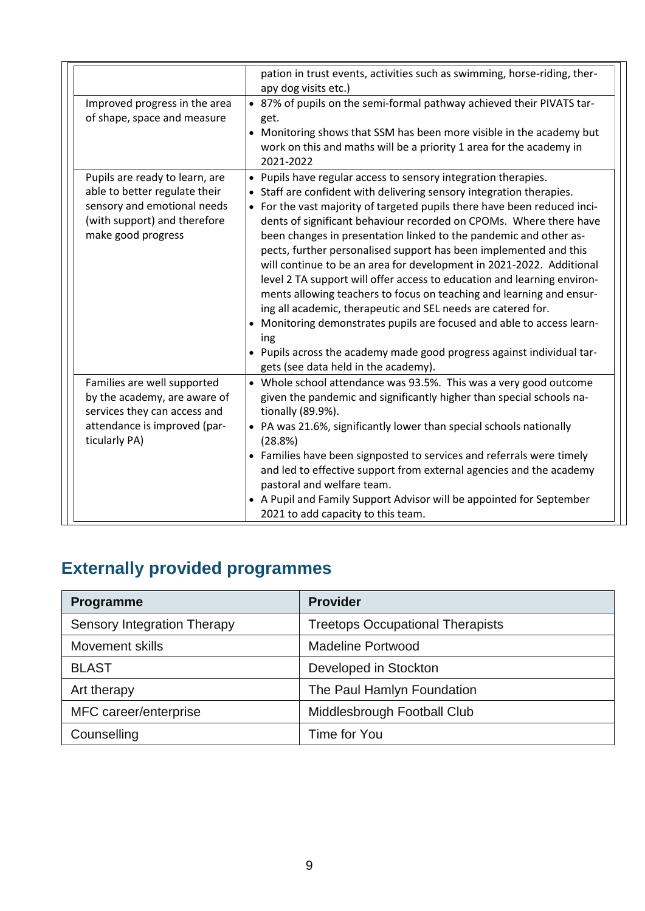|                                                                                                                                                      | pation in trust events, activities such as swimming, horse-riding, ther-<br>apy dog visits etc.)                                                                                                                                                                                                                                                                                                                                                                                                                                                                                                                                                                                                                                                                                                                                                                                                                                 |
|------------------------------------------------------------------------------------------------------------------------------------------------------|----------------------------------------------------------------------------------------------------------------------------------------------------------------------------------------------------------------------------------------------------------------------------------------------------------------------------------------------------------------------------------------------------------------------------------------------------------------------------------------------------------------------------------------------------------------------------------------------------------------------------------------------------------------------------------------------------------------------------------------------------------------------------------------------------------------------------------------------------------------------------------------------------------------------------------|
| Improved progress in the area<br>of shape, space and measure                                                                                         | • 87% of pupils on the semi-formal pathway achieved their PIVATS tar-<br>get.<br>• Monitoring shows that SSM has been more visible in the academy but<br>work on this and maths will be a priority 1 area for the academy in<br>2021-2022                                                                                                                                                                                                                                                                                                                                                                                                                                                                                                                                                                                                                                                                                        |
| Pupils are ready to learn, are<br>able to better regulate their<br>sensory and emotional needs<br>(with support) and therefore<br>make good progress | • Pupils have regular access to sensory integration therapies.<br>• Staff are confident with delivering sensory integration therapies.<br>• For the vast majority of targeted pupils there have been reduced inci-<br>dents of significant behaviour recorded on CPOMs. Where there have<br>been changes in presentation linked to the pandemic and other as-<br>pects, further personalised support has been implemented and this<br>will continue to be an area for development in 2021-2022. Additional<br>level 2 TA support will offer access to education and learning environ-<br>ments allowing teachers to focus on teaching and learning and ensur-<br>ing all academic, therapeutic and SEL needs are catered for.<br>• Monitoring demonstrates pupils are focused and able to access learn-<br>ing<br>• Pupils across the academy made good progress against individual tar-<br>gets (see data held in the academy). |
| Families are well supported<br>by the academy, are aware of<br>services they can access and<br>attendance is improved (par-<br>ticularly PA)         | • Whole school attendance was 93.5%. This was a very good outcome<br>given the pandemic and significantly higher than special schools na-<br>tionally (89.9%).<br>• PA was 21.6%, significantly lower than special schools nationally<br>(28.8%)<br>• Families have been signposted to services and referrals were timely<br>and led to effective support from external agencies and the academy<br>pastoral and welfare team.<br>• A Pupil and Family Support Advisor will be appointed for September<br>2021 to add capacity to this team.                                                                                                                                                                                                                                                                                                                                                                                     |

# **Externally provided programmes**

| Programme                   | <b>Provider</b>                         |
|-----------------------------|-----------------------------------------|
| Sensory Integration Therapy | <b>Treetops Occupational Therapists</b> |
| <b>Movement skills</b>      | <b>Madeline Portwood</b>                |
| <b>BLAST</b>                | Developed in Stockton                   |
| Art therapy                 | The Paul Hamlyn Foundation              |
| MFC career/enterprise       | Middlesbrough Football Club             |
| Counselling                 | Time for You                            |